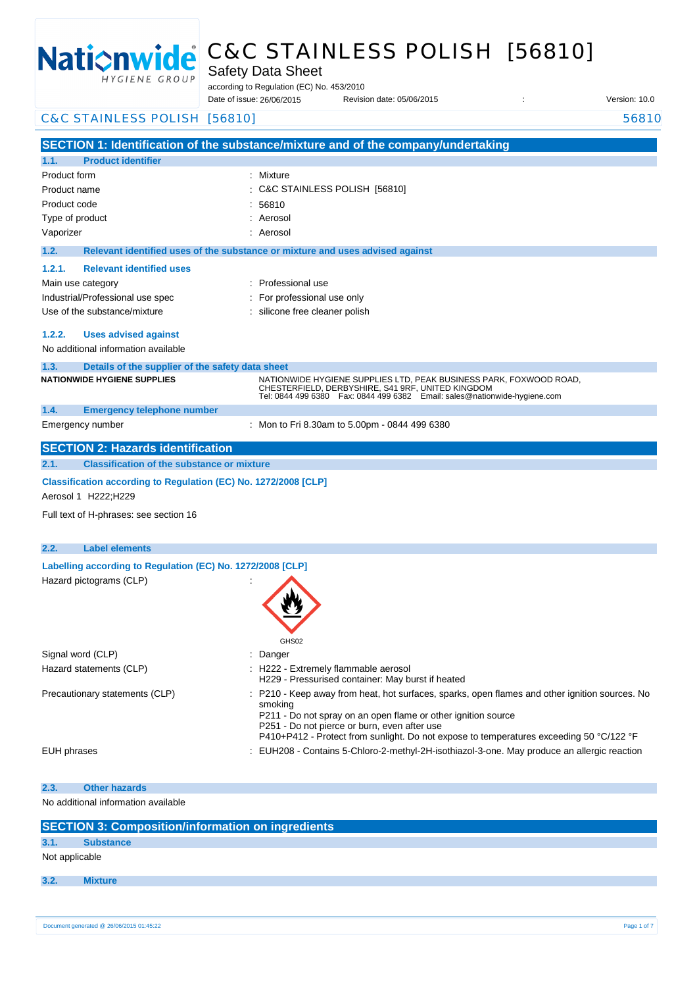

# C&C STAINLESS POLISH [56810]

Safety Data Sheet

according to Regulation (EC) No. 453/2010

Date of issue: Revision date: 05/06/2015 : Version: 10.0 Date of issue: 26/06/2015

| C&C STAINLESS POLISH [56810]                                                            | 56810                                                                                                                                                                                                                                                                                                                 |  |  |
|-----------------------------------------------------------------------------------------|-----------------------------------------------------------------------------------------------------------------------------------------------------------------------------------------------------------------------------------------------------------------------------------------------------------------------|--|--|
|                                                                                         | SECTION 1: Identification of the substance/mixture and of the company/undertaking                                                                                                                                                                                                                                     |  |  |
| <b>Product identifier</b><br>1.1.                                                       |                                                                                                                                                                                                                                                                                                                       |  |  |
| Product form                                                                            | : Mixture                                                                                                                                                                                                                                                                                                             |  |  |
| Product name                                                                            | C&C STAINLESS POLISH [56810]                                                                                                                                                                                                                                                                                          |  |  |
| Product code                                                                            | 56810                                                                                                                                                                                                                                                                                                                 |  |  |
| Type of product                                                                         | Aerosol                                                                                                                                                                                                                                                                                                               |  |  |
| Vaporizer                                                                               | Aerosol                                                                                                                                                                                                                                                                                                               |  |  |
| 1.2.                                                                                    | Relevant identified uses of the substance or mixture and uses advised against                                                                                                                                                                                                                                         |  |  |
| <b>Relevant identified uses</b><br>1.2.1.                                               |                                                                                                                                                                                                                                                                                                                       |  |  |
| Main use category                                                                       | Professional use                                                                                                                                                                                                                                                                                                      |  |  |
| Industrial/Professional use spec                                                        | For professional use only                                                                                                                                                                                                                                                                                             |  |  |
| Use of the substance/mixture                                                            | silicone free cleaner polish                                                                                                                                                                                                                                                                                          |  |  |
| 1.2.2.<br><b>Uses advised against</b>                                                   |                                                                                                                                                                                                                                                                                                                       |  |  |
| No additional information available                                                     |                                                                                                                                                                                                                                                                                                                       |  |  |
| Details of the supplier of the safety data sheet<br>1.3.                                |                                                                                                                                                                                                                                                                                                                       |  |  |
| <b>NATIONWIDE HYGIENE SUPPLIES</b>                                                      | NATIONWIDE HYGIENE SUPPLIES LTD, PEAK BUSINESS PARK, FOXWOOD ROAD,<br>CHESTERFIELD, DERBYSHIRE, S41 9RF, UNITED KINGDOM<br>Tel: 0844 499 6380  Fax: 0844 499 6382  Email: sales@nationwide-hygiene.com                                                                                                                |  |  |
| 1.4.<br><b>Emergency telephone number</b>                                               |                                                                                                                                                                                                                                                                                                                       |  |  |
| Emergency number                                                                        | : Mon to Fri 8.30am to 5.00pm - 0844 499 6380                                                                                                                                                                                                                                                                         |  |  |
| <b>SECTION 2: Hazards identification</b>                                                |                                                                                                                                                                                                                                                                                                                       |  |  |
| <b>Classification of the substance or mixture</b><br>2.1.                               |                                                                                                                                                                                                                                                                                                                       |  |  |
| Classification according to Regulation (EC) No. 1272/2008 [CLP]<br>Aerosol 1 H222; H229 |                                                                                                                                                                                                                                                                                                                       |  |  |
| Full text of H-phrases: see section 16                                                  |                                                                                                                                                                                                                                                                                                                       |  |  |
| 2.2.<br><b>Label elements</b>                                                           |                                                                                                                                                                                                                                                                                                                       |  |  |
| Labelling according to Regulation (EC) No. 1272/2008 [CLP]                              |                                                                                                                                                                                                                                                                                                                       |  |  |
| Hazard pictograms (CLP)                                                                 | GHS02                                                                                                                                                                                                                                                                                                                 |  |  |
| Signal word (CLP)                                                                       | Danger                                                                                                                                                                                                                                                                                                                |  |  |
| Hazard statements (CLP)                                                                 | : H222 - Extremely flammable aerosol<br>H229 - Pressurised container: May burst if heated                                                                                                                                                                                                                             |  |  |
| Precautionary statements (CLP)                                                          | : P210 - Keep away from heat, hot surfaces, sparks, open flames and other ignition sources. No<br>smoking<br>P211 - Do not spray on an open flame or other ignition source<br>P251 - Do not pierce or burn, even after use<br>P410+P412 - Protect from sunlight. Do not expose to temperatures exceeding 50 °C/122 °F |  |  |
| <b>EUH</b> phrases                                                                      | EUH208 - Contains 5-Chloro-2-methyl-2H-isothiazol-3-one. May produce an allergic reaction                                                                                                                                                                                                                             |  |  |
| <b>Other hazards</b><br>2.3.                                                            |                                                                                                                                                                                                                                                                                                                       |  |  |
| No additional information available                                                     |                                                                                                                                                                                                                                                                                                                       |  |  |
| <b>SECTION 3: Composition/information on ingredients</b>                                |                                                                                                                                                                                                                                                                                                                       |  |  |

|                | SECTION 3: Composition/information on ingredients |  |  |  |  |  |  |
|----------------|---------------------------------------------------|--|--|--|--|--|--|
| 3.1.           | <b>Substance</b>                                  |  |  |  |  |  |  |
| Not applicable |                                                   |  |  |  |  |  |  |
| 3.2.           | <b>Mixture</b>                                    |  |  |  |  |  |  |
|                |                                                   |  |  |  |  |  |  |
|                |                                                   |  |  |  |  |  |  |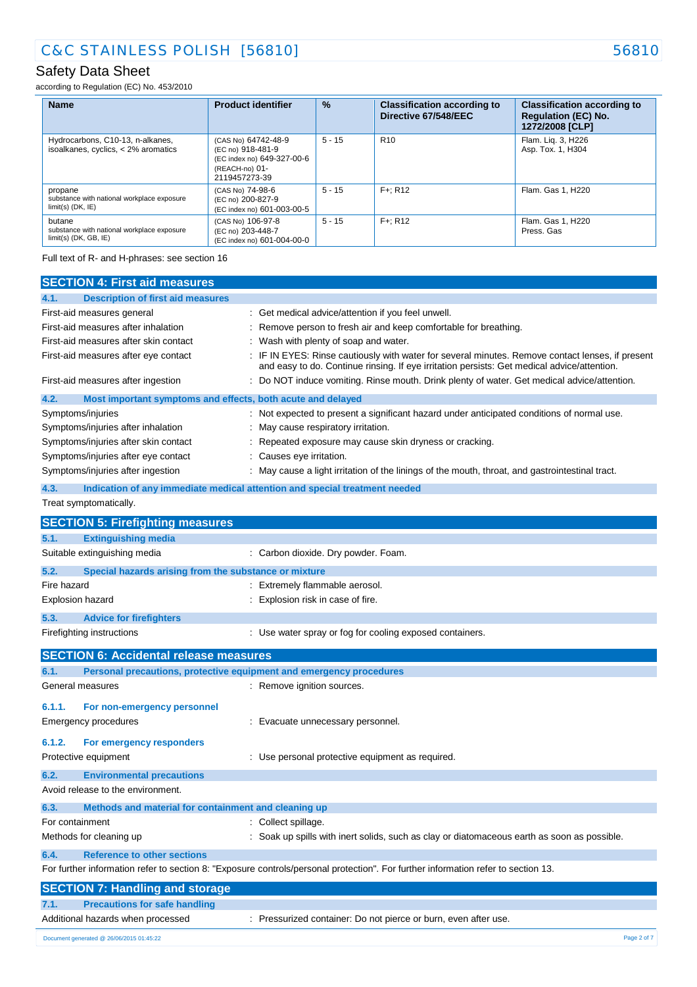according to Regulation (EC) No. 453/2010

| <b>Name</b>                                                                     | <b>Product identifier</b>                                                                                 | $\frac{9}{6}$ | <b>Classification according to</b><br>Directive 67/548/EEC | <b>Classification according to</b><br><b>Regulation (EC) No.</b><br>1272/2008 [CLP] |
|---------------------------------------------------------------------------------|-----------------------------------------------------------------------------------------------------------|---------------|------------------------------------------------------------|-------------------------------------------------------------------------------------|
| Hydrocarbons, C10-13, n-alkanes,<br>isoalkanes, cyclics, < 2% aromatics         | (CAS No) 64742-48-9<br>(EC no) 918-481-9<br>(EC index no) 649-327-00-6<br>(REACH-no) 01-<br>2119457273-39 | $5 - 15$      | R <sub>10</sub>                                            | Flam. Lig. 3, H226<br>Asp. Tox. 1, H304                                             |
| propane<br>substance with national workplace exposure<br>$limit(s)$ (DK, $IE$ ) | (CAS No) 74-98-6<br>(EC no) 200-827-9<br>(EC index no) 601-003-00-5                                       | $5 - 15$      | $F +: R12$                                                 | Flam, Gas 1, H220                                                                   |
| butane<br>substance with national workplace exposure<br>$limit(s)$ (DK, GB, IE) | (CAS No) 106-97-8<br>(EC no) 203-448-7<br>(EC index no) 601-004-00-0                                      | $5 - 15$      | $F +: R12$                                                 | Flam. Gas 1, H220<br>Press, Gas                                                     |

Full text of R- and H-phrases: see section 16

| <b>SECTION 4: First aid measures</b>                                               |                                                                                                                                                                                               |
|------------------------------------------------------------------------------------|-----------------------------------------------------------------------------------------------------------------------------------------------------------------------------------------------|
| 4.1.<br><b>Description of first aid measures</b>                                   |                                                                                                                                                                                               |
|                                                                                    |                                                                                                                                                                                               |
| First-aid measures general                                                         | : Get medical advice/attention if you feel unwell.                                                                                                                                            |
| First-aid measures after inhalation<br>First-aid measures after skin contact       | Remove person to fresh air and keep comfortable for breathing.<br>Wash with plenty of soap and water.                                                                                         |
|                                                                                    |                                                                                                                                                                                               |
| First-aid measures after eye contact                                               | IF IN EYES: Rinse cautiously with water for several minutes. Remove contact lenses, if present<br>and easy to do. Continue rinsing. If eye irritation persists: Get medical advice/attention. |
| First-aid measures after ingestion                                                 | Do NOT induce vomiting. Rinse mouth. Drink plenty of water. Get medical advice/attention.                                                                                                     |
| 4.2.<br>Most important symptoms and effects, both acute and delayed                |                                                                                                                                                                                               |
| Symptoms/injuries                                                                  | Not expected to present a significant hazard under anticipated conditions of normal use.                                                                                                      |
| Symptoms/injuries after inhalation                                                 | May cause respiratory irritation.                                                                                                                                                             |
| Symptoms/injuries after skin contact                                               | Repeated exposure may cause skin dryness or cracking.                                                                                                                                         |
| Symptoms/injuries after eye contact                                                | Causes eye irritation.                                                                                                                                                                        |
| Symptoms/injuries after ingestion                                                  | May cause a light irritation of the linings of the mouth, throat, and gastrointestinal tract.                                                                                                 |
| 4.3.<br>Indication of any immediate medical attention and special treatment needed |                                                                                                                                                                                               |
| Treat symptomatically.                                                             |                                                                                                                                                                                               |
| <b>SECTION 5: Firefighting measures</b>                                            |                                                                                                                                                                                               |
| 5.1.<br><b>Extinguishing media</b>                                                 |                                                                                                                                                                                               |
| Suitable extinguishing media                                                       | : Carbon dioxide. Dry powder. Foam.                                                                                                                                                           |
| 5.2.<br>Special hazards arising from the substance or mixture                      |                                                                                                                                                                                               |
| Fire hazard                                                                        | : Extremely flammable aerosol.                                                                                                                                                                |
| Explosion hazard                                                                   | Explosion risk in case of fire.                                                                                                                                                               |
| 5.3.<br><b>Advice for firefighters</b>                                             |                                                                                                                                                                                               |
| Firefighting instructions                                                          | : Use water spray or fog for cooling exposed containers.                                                                                                                                      |
| <b>SECTION 6: Accidental release measures</b>                                      |                                                                                                                                                                                               |
| Personal precautions, protective equipment and emergency procedures<br>6.1.        |                                                                                                                                                                                               |
| General measures                                                                   | : Remove ignition sources.                                                                                                                                                                    |
| 6.1.1.<br>For non-emergency personnel                                              |                                                                                                                                                                                               |
| <b>Emergency procedures</b>                                                        | : Evacuate unnecessary personnel.                                                                                                                                                             |
|                                                                                    |                                                                                                                                                                                               |
| 6.1.2.<br>For emergency responders                                                 |                                                                                                                                                                                               |
| Protective equipment                                                               | : Use personal protective equipment as required.                                                                                                                                              |
| 6.2.<br><b>Environmental precautions</b>                                           |                                                                                                                                                                                               |
| Avoid release to the environment.                                                  |                                                                                                                                                                                               |
| 6.3.<br>Methods and material for containment and cleaning up                       |                                                                                                                                                                                               |
| For containment                                                                    | : Collect spillage.                                                                                                                                                                           |
| Methods for cleaning up                                                            | Soak up spills with inert solids, such as clay or diatomaceous earth as soon as possible.                                                                                                     |
| 6.4.<br><b>Reference to other sections</b>                                         |                                                                                                                                                                                               |
|                                                                                    | For further information refer to section 8: "Exposure controls/personal protection". For further information refer to section 13.                                                             |
| <b>SECTION 7: Handling and storage</b>                                             |                                                                                                                                                                                               |
| <b>Precautions for safe handling</b><br>7.1.                                       |                                                                                                                                                                                               |
| Additional hazards when processed                                                  | : Pressurized container: Do not pierce or burn, even after use.                                                                                                                               |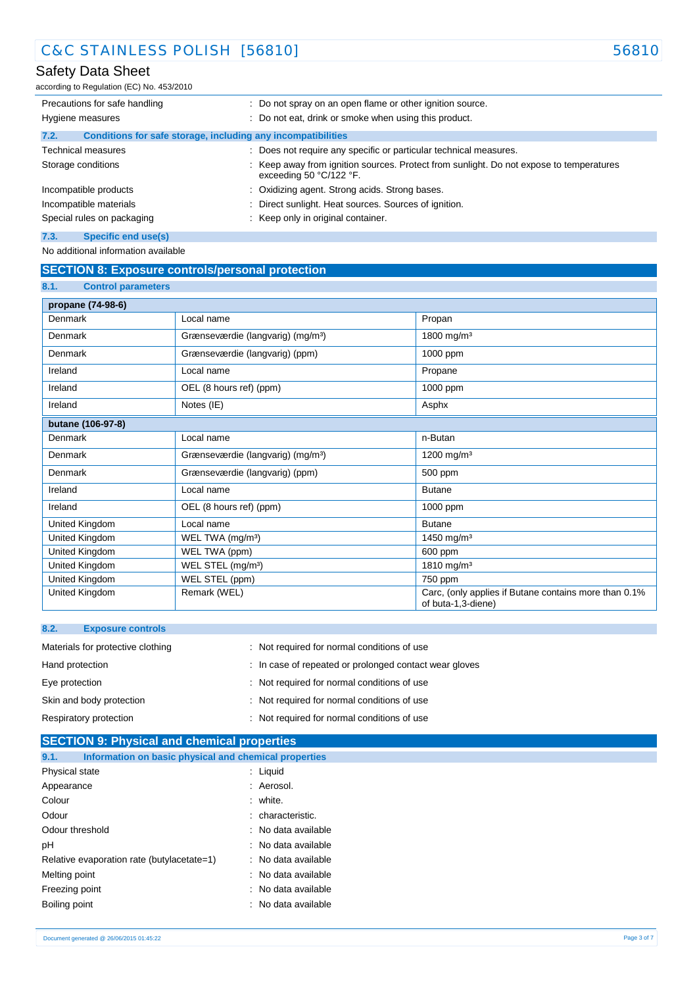## Safety Data Sheet

according to Regulation (EC) No. 453/2010

| Precautions for safe handling | : Do not spray on an open flame or other ignition source.                                                        |  |  |  |
|-------------------------------|------------------------------------------------------------------------------------------------------------------|--|--|--|
| Hygiene measures              | : Do not eat, drink or smoke when using this product.                                                            |  |  |  |
| 7.2.                          | Conditions for safe storage, including any incompatibilities                                                     |  |  |  |
| <b>Technical measures</b>     | Does not require any specific or particular technical measures.<br>÷                                             |  |  |  |
| Storage conditions            | Keep away from ignition sources. Protect from sunlight. Do not expose to temperatures<br>exceeding 50 °C/122 °F. |  |  |  |
| Incompatible products         | : Oxidizing agent. Strong acids. Strong bases.                                                                   |  |  |  |
| Incompatible materials        | Direct sunlight. Heat sources. Sources of ignition.                                                              |  |  |  |
| Special rules on packaging    | Keep only in original container.                                                                                 |  |  |  |
| Specific end use(s)<br>7.3.   |                                                                                                                  |  |  |  |

No additional information available

## **SECTION 8: Exposure controls/personal protection**

| 8.1.<br><b>Control parameters</b> |                                               |                                                                             |
|-----------------------------------|-----------------------------------------------|-----------------------------------------------------------------------------|
| propane (74-98-6)                 |                                               |                                                                             |
| Denmark                           | Local name                                    | Propan                                                                      |
| Denmark                           | Grænseværdie (langvarig) (mg/m <sup>3</sup> ) | 1800 mg/m <sup>3</sup>                                                      |
| Denmark                           | Grænseværdie (langvarig) (ppm)                | 1000 ppm                                                                    |
| Ireland                           | Local name                                    | Propane                                                                     |
| Ireland                           | OEL (8 hours ref) (ppm)                       | 1000 ppm                                                                    |
| Ireland                           | Notes (IE)                                    | Asphx                                                                       |
| butane (106-97-8)                 |                                               |                                                                             |
| Denmark                           | Local name                                    | n-Butan                                                                     |
| Denmark                           | Grænseværdie (langvarig) (mg/m <sup>3</sup> ) | 1200 mg/m <sup>3</sup>                                                      |
| Denmark                           | Grænseværdie (langvarig) (ppm)                | 500 ppm                                                                     |
| Ireland                           | Local name                                    | <b>Butane</b>                                                               |
| Ireland                           | OEL (8 hours ref) (ppm)                       | 1000 ppm                                                                    |
| United Kingdom                    | Local name                                    | <b>Butane</b>                                                               |
| United Kingdom                    | WEL TWA (mg/m <sup>3</sup> )                  | 1450 mg/m <sup>3</sup>                                                      |
| United Kingdom                    | WEL TWA (ppm)                                 | 600 ppm                                                                     |
| United Kingdom                    | WEL STEL (mg/m <sup>3</sup> )                 | 1810 mg/m <sup>3</sup>                                                      |
| United Kingdom                    | WEL STEL (ppm)                                | 750 ppm                                                                     |
| United Kingdom                    | Remark (WEL)                                  | Carc, (only applies if Butane contains more than 0.1%<br>of buta-1,3-diene) |

| 8.2.            | <b>Exposure controls</b>          |                                                        |
|-----------------|-----------------------------------|--------------------------------------------------------|
|                 | Materials for protective clothing | : Not required for normal conditions of use            |
| Hand protection |                                   | : In case of repeated or prolonged contact wear gloves |
| Eye protection  |                                   | : Not required for normal conditions of use            |
|                 | Skin and body protection          | : Not required for normal conditions of use            |
|                 | Respiratory protection            | : Not required for normal conditions of use            |

| <b>SECTION 9: Physical and chemical properties</b>            |                     |  |  |  |  |
|---------------------------------------------------------------|---------------------|--|--|--|--|
| Information on basic physical and chemical properties<br>9.1. |                     |  |  |  |  |
| Physical state                                                | : Liquid            |  |  |  |  |
| Appearance                                                    | : Aerosol.          |  |  |  |  |
| Colour                                                        | : white.            |  |  |  |  |
| Odour                                                         | : characteristic.   |  |  |  |  |
| Odour threshold                                               | : No data available |  |  |  |  |
| pH                                                            | : No data available |  |  |  |  |
| Relative evaporation rate (butylacetate=1)                    | : No data available |  |  |  |  |
| Melting point                                                 | : No data available |  |  |  |  |
| Freezing point                                                | : No data available |  |  |  |  |
| Boiling point                                                 | : No data available |  |  |  |  |
|                                                               |                     |  |  |  |  |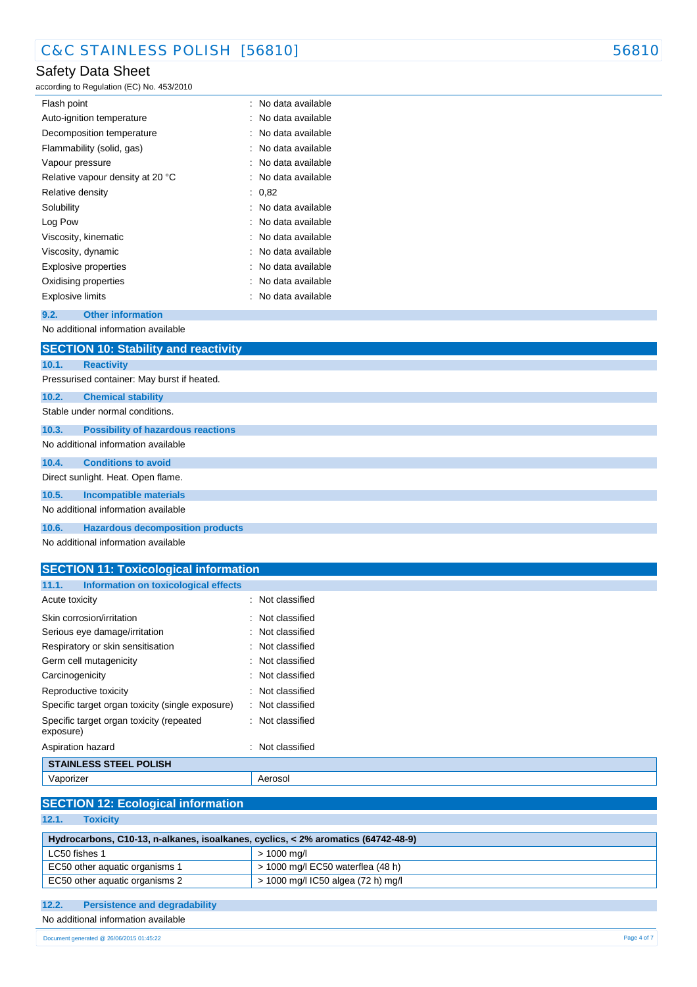## Safety Data Sheet

according to Regulation (EC) No. 453/2010

| : No data available |
|---------------------|
| : No data available |
| : No data available |
| : No data available |
| : No data available |
| : No data available |
| : 0.82              |
| : No data available |
| : No data available |
| : No data available |
| : No data available |
| : No data available |
| : No data available |
| No data available   |
|                     |

### **9.2. Other information**

No additional information available

|       | <b>SECTION 10: Stability and reactivity</b> |  |  |  |  |
|-------|---------------------------------------------|--|--|--|--|
| 10.1. | <b>Reactivity</b>                           |  |  |  |  |
|       | Pressurised container: May burst if heated. |  |  |  |  |
| 10.2. | <b>Chemical stability</b>                   |  |  |  |  |
|       | Stable under normal conditions.             |  |  |  |  |
| 10.3. | <b>Possibility of hazardous reactions</b>   |  |  |  |  |
|       | No additional information available         |  |  |  |  |
| 10.4. | <b>Conditions to avoid</b>                  |  |  |  |  |
|       | Direct sunlight. Heat. Open flame.          |  |  |  |  |
| 10.5. | <b>Incompatible materials</b>               |  |  |  |  |
|       | No additional information available         |  |  |  |  |
| 10.6. | <b>Hazardous decomposition products</b>     |  |  |  |  |

No additional information available

| <b>SECTION 11: Toxicological information</b>          |                             |  |  |  |  |  |
|-------------------------------------------------------|-----------------------------|--|--|--|--|--|
| 11.1.<br>Information on toxicological effects         |                             |  |  |  |  |  |
| Acute toxicity                                        | $\therefore$ Not classified |  |  |  |  |  |
| Skin corrosion/irritation                             | : Not classified            |  |  |  |  |  |
| Serious eye damage/irritation                         | : Not classified            |  |  |  |  |  |
| Respiratory or skin sensitisation                     | $\therefore$ Not classified |  |  |  |  |  |
| Germ cell mutagenicity                                | : Not classified            |  |  |  |  |  |
| Carcinogenicity                                       | $\therefore$ Not classified |  |  |  |  |  |
| Reproductive toxicity                                 | : Not classified            |  |  |  |  |  |
| Specific target organ toxicity (single exposure)      | : Not classified            |  |  |  |  |  |
| Specific target organ toxicity (repeated<br>exposure) | $\therefore$ Not classified |  |  |  |  |  |
| Aspiration hazard                                     | $\therefore$ Not classified |  |  |  |  |  |

## **STAINLESS STEEL POLISH** Vaporizer **Access** Aerosol

| <b>SECTION 12: Ecological information</b> |  |  |  |  |
|-------------------------------------------|--|--|--|--|
|                                           |  |  |  |  |

**12.1. Toxicity**

| Hydrocarbons, C10-13, n-alkanes, isoalkanes, cyclics, < 2% aromatics (64742-48-9) |                                     |  |
|-----------------------------------------------------------------------------------|-------------------------------------|--|
| LC50 fishes 1                                                                     | $> 1000$ ma/l                       |  |
| EC50 other aquatic organisms 1                                                    | $>$ 1000 mg/l EC50 waterflea (48 h) |  |
| EC50 other aquatic organisms 2                                                    | > 1000 mg/l IC50 algea (72 h) mg/l  |  |

## **12.2. Persistence and degradability**

No additional information available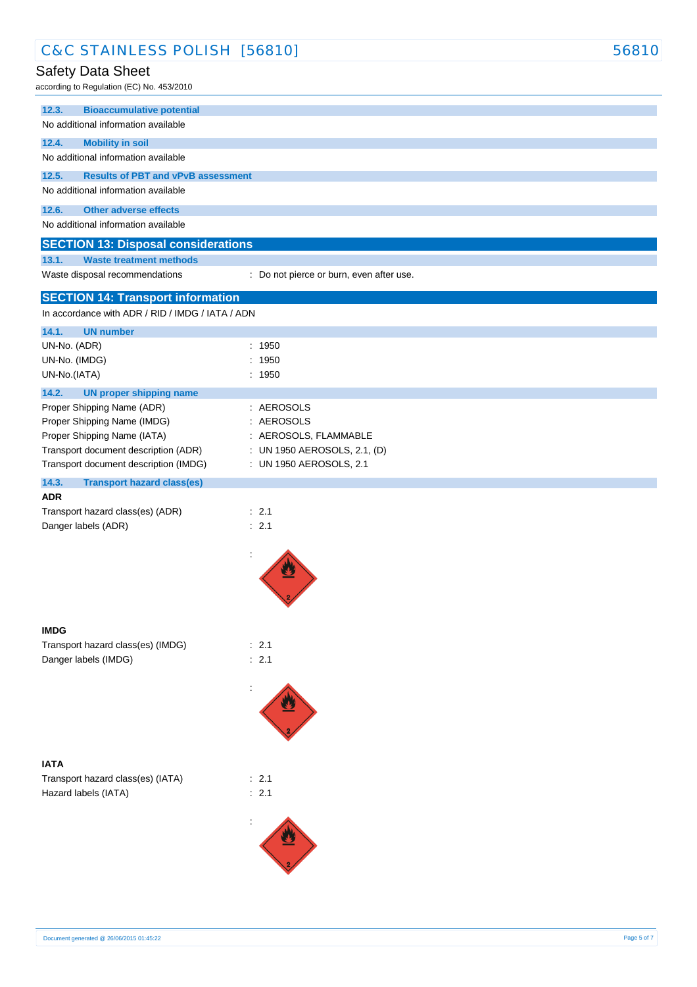| C&C STAINLESS POLISH [56810]                                                                                                                                                |                                                                                   | 56810 |
|-----------------------------------------------------------------------------------------------------------------------------------------------------------------------------|-----------------------------------------------------------------------------------|-------|
| Safety Data Sheet<br>according to Regulation (EC) No. 453/2010                                                                                                              |                                                                                   |       |
| 12.3.<br><b>Bioaccumulative potential</b>                                                                                                                                   |                                                                                   |       |
| No additional information available                                                                                                                                         |                                                                                   |       |
| 12.4.<br><b>Mobility in soil</b><br>No additional information available                                                                                                     |                                                                                   |       |
| 12.5.<br><b>Results of PBT and vPvB assessment</b>                                                                                                                          |                                                                                   |       |
| No additional information available                                                                                                                                         |                                                                                   |       |
| 12.6.<br><b>Other adverse effects</b><br>No additional information available                                                                                                |                                                                                   |       |
| <b>SECTION 13: Disposal considerations</b>                                                                                                                                  |                                                                                   |       |
| 13.1.<br><b>Waste treatment methods</b>                                                                                                                                     |                                                                                   |       |
| Waste disposal recommendations                                                                                                                                              | : Do not pierce or burn, even after use.                                          |       |
| <b>SECTION 14: Transport information</b><br>In accordance with ADR / RID / IMDG / IATA / ADN                                                                                |                                                                                   |       |
| 14.1.<br><b>UN number</b>                                                                                                                                                   |                                                                                   |       |
| UN-No. (ADR)                                                                                                                                                                | : 1950                                                                            |       |
| UN-No. (IMDG)                                                                                                                                                               | : 1950                                                                            |       |
| UN-No.(IATA)                                                                                                                                                                | : 1950                                                                            |       |
| 14.2.<br><b>UN proper shipping name</b><br>Proper Shipping Name (ADR)<br>Proper Shipping Name (IMDG)<br>Proper Shipping Name (IATA)<br>Transport document description (ADR) | : AEROSOLS<br>: AEROSOLS<br>: AEROSOLS, FLAMMABLE<br>: UN 1950 AEROSOLS, 2.1, (D) |       |
| Transport document description (IMDG)                                                                                                                                       | : UN 1950 AEROSOLS, 2.1                                                           |       |
| 14.3.<br><b>Transport hazard class(es)</b><br><b>ADR</b>                                                                                                                    |                                                                                   |       |
| Transport hazard class(es) (ADR)                                                                                                                                            | $\therefore$ 2.1                                                                  |       |
| Danger labels (ADR)                                                                                                                                                         | : 2.1                                                                             |       |
|                                                                                                                                                                             | $\ddot{\cdot}$                                                                    |       |
| <b>IMDG</b>                                                                                                                                                                 |                                                                                   |       |
| Transport hazard class(es) (IMDG)                                                                                                                                           | : 2.1                                                                             |       |
| Danger labels (IMDG)                                                                                                                                                        | : 2.1                                                                             |       |
|                                                                                                                                                                             |                                                                                   |       |
| <b>IATA</b>                                                                                                                                                                 |                                                                                   |       |
| Transport hazard class(es) (IATA)<br>Hazard labels (IATA)                                                                                                                   | : 2.1<br>: 2.1                                                                    |       |
|                                                                                                                                                                             |                                                                                   |       |
|                                                                                                                                                                             |                                                                                   |       |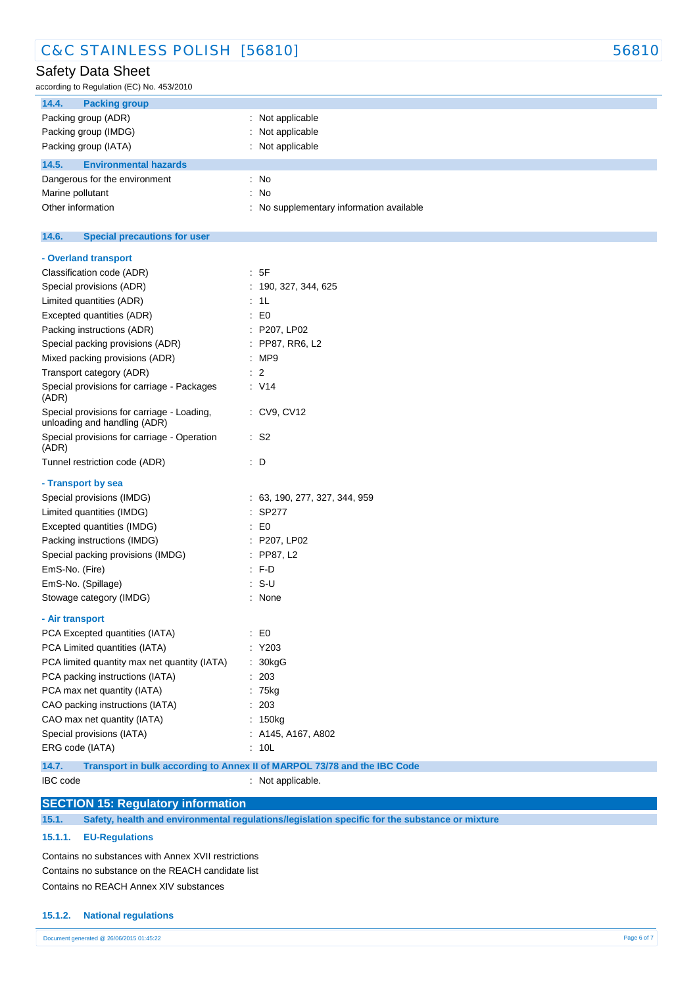## Safety Data Sheet

according to Regulation (EC) No. 453/2010

| 14.4.<br><b>Packing group</b>         |                                        |
|---------------------------------------|----------------------------------------|
| Packing group (ADR)                   | Not applicable                         |
| Packing group (IMDG)                  | Not applicable                         |
| Packing group (IATA)                  | Not applicable                         |
| <b>Environmental hazards</b><br>14.5. |                                        |
| Dangerous for the environment         | : No                                   |
| Marine pollutant                      | : No                                   |
| Other information                     | No supplementary information available |

#### $14.6.$ **14.6. Special precautions for user**

| - Overland transport                                                       |                                                                          |
|----------------------------------------------------------------------------|--------------------------------------------------------------------------|
| Classification code (ADR)                                                  | : 5F                                                                     |
| Special provisions (ADR)                                                   | 190, 327, 344, 625                                                       |
| Limited quantities (ADR)                                                   | 1L                                                                       |
| Excepted quantities (ADR)                                                  | E <sub>0</sub>                                                           |
| Packing instructions (ADR)                                                 | : P207, LP02                                                             |
| Special packing provisions (ADR)                                           | PP87, RR6, L2                                                            |
| Mixed packing provisions (ADR)                                             | MP9                                                                      |
| Transport category (ADR)                                                   | $\overline{2}$                                                           |
| Special provisions for carriage - Packages<br>(ADR)                        | : V14                                                                    |
| Special provisions for carriage - Loading,<br>unloading and handling (ADR) | : CV9, CV12                                                              |
| Special provisions for carriage - Operation<br>(ADR)                       | : S2                                                                     |
| Tunnel restriction code (ADR)                                              | : D                                                                      |
| - Transport by sea                                                         |                                                                          |
| Special provisions (IMDG)                                                  | : 63, 190, 277, 327, 344, 959                                            |
| Limited quantities (IMDG)                                                  | SP277                                                                    |
| Excepted quantities (IMDG)                                                 | E0                                                                       |
| Packing instructions (IMDG)                                                | : P207, LP02                                                             |
| Special packing provisions (IMDG)                                          | $:$ PP87, L2                                                             |
| EmS-No. (Fire)                                                             | : F.D                                                                    |
| EmS-No. (Spillage)                                                         | $: S-U$                                                                  |
| Stowage category (IMDG)                                                    | : None                                                                   |
| - Air transport                                                            |                                                                          |
| PCA Excepted quantities (IATA)                                             | E0                                                                       |
| PCA Limited quantities (IATA)                                              | Y203                                                                     |
| PCA limited quantity max net quantity (IATA)                               | 30kgG                                                                    |
| PCA packing instructions (IATA)                                            | 203                                                                      |
| PCA max net quantity (IATA)                                                | 75kg                                                                     |
| CAO packing instructions (IATA)                                            | 203                                                                      |
| CAO max net quantity (IATA)                                                | 150 <sub>kg</sub>                                                        |
| Special provisions (IATA)                                                  | A145, A167, A802                                                         |
| ERG code (IATA)                                                            | 10 <sub>L</sub>                                                          |
| 14.7.                                                                      | Transport in bulk according to Annex II of MARPOL 73/78 and the IBC Code |

IBC code : Not applicable.

## **SECTION 15: Regulatory information**

**15.1. Safety, health and environmental regulations/legislation specific for the substance or mixture**

#### **15.1.1. EU-Regulations**

Contains no substances with Annex XVII restrictions Contains no substance on the REACH candidate list Contains no REACH Annex XIV substances

#### **15.1.2. National regulations**